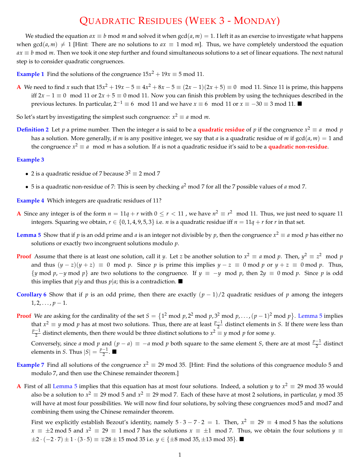## QUADRATIC RESIDUES (WEEK 3-MONDAY)

We studied the equation  $ax \equiv b \mod m$  and solved it when  $gcd(a, m) = 1$ . I left it as an exercise to investigate what happens when  $gcd(a, m) \neq 1$  [Hint: There are no solutions to  $ax \equiv 1 \mod m$ ]. Thus, we have completely understood the equation  $ax \equiv b \mod m$ . Then we took it one step further and found simultaneous solutions to a set of linear equations. The next natural step is to consider quadratic congruences.

**Example 1** Find the solutions of the congruence  $15x^2 + 19x \equiv 5 \text{ mod } 11$ .

**A** We need to find *x* such that  $15x^2 + 19x - 5 \equiv 4x^2 + 8x - 5 \equiv (2x - 1)(2x + 5) \equiv 0 \mod 11$ . Since 11 is prime, this happens iff  $2x - 1 \equiv 0 \mod 11$  or  $2x + 5 \equiv 0 \mod 11$ . Now you can finish this problem by using the techniques described in the previous lectures. In particular,  $2^{-1} \equiv 6 \mod 11$  and we have  $x \equiv 6 \mod 11$  or  $x \equiv -30 \equiv 3 \mod 11$ .

So let's start by investigating the simplest such congruence:  $x^2 \equiv a \mod m$ .

**Definition 2** Let *p* a prime number. Then the integer *a* is said to be a **quadratic residue** of *p* if the congruence  $x^2 \equiv a \mod p$ has a solution. More generally, if *m* is any positive integer, we say that *a* is a quadratic residue of *m* if gcd(*a*, *m*) = 1 and the congruence  $x^2 \equiv a \mod m$  has a solution. If a is not a quadratic residue it's said to be a **quadratic non-residue**.

## **Example 3**

- 2 is a quadratic residue of 7 because  $3^2 \equiv 2 \mod 7$
- *•* 5 is a quadratic non-residue of 7: This is seen by checking *<sup>a</sup>*<sup>2</sup> mod 7 for all the 7 possible values of *<sup>a</sup>* mod 7.

**Example 4** Which integers are quadratic residues of 11?

- **A** Since any integer is of the form  $n = 11q + r$  with  $0 \le r < 11$ , we have  $n^2 \equiv r^2 \mod 11$ . Thus, we just need to square 11 integers. Squaring we obtain,  $r \in \{0, 1, 4, 9, 5, 3\}$  i.e. *n* is a quadratic residue iff  $n = 11q + r$  for *r* in that set.
- **Lemma 5** Show that if *p* is an odd prime and *a* is an integer not divisible by *p*, then the congruence  $x^2 \equiv a$  mod *p* has either no solutions or exactly two incongruent solutions modulo *p*.
- **Proof** Assume that there is at least one solution, call it *y*. Let *z* be another solution to  $x^2 \equiv a \mod p$ . Then,  $y^2 \equiv z^2 \mod p$ and thus  $(y - z)(y + z) \equiv 0 \mod p$ . Since *p* is prime this implies  $y - z \equiv 0 \mod p$  or  $y + z \equiv 0 \mod p$ . Thus,  $\{y \text{ mod } p, -y \text{ mod } p\}$  are two solutions to the congruence. If  $y \equiv -y \mod p$ , then  $2y \equiv 0 \mod p$ . Since *p* is odd this implies that  $p|y$  and thus  $p|a$ ; this is a contradiction.  $\blacksquare$
- **Corollary 6** Show that if *p* is an odd prime, then there are exactly  $(p-1)/2$  quadratic residues of *p* among the integers  $1, 2, \ldots, p-1.$
- **Proof** We are asking for the cardinality of the set  $S = \{1^2 \text{ mod } p, 2^2 \text{ mod } p, 3^2 \text{ mod } p, \ldots, (p-1)^2 \text{ mod } p\}$ . Lemma 5 implies that  $x^2 \equiv y$  mod *p* has at most two solutions. Thus, there are at least  $\frac{p-1}{2}$  distinct elements in *S*. If there were less than  $\frac{p-1}{2}$  distinct elements, then there would be three distinct solutions to  $x^2 \equiv y \mod p$  for some *y*.

Conversely, since *a* mod *p* and  $(p - a) \equiv -a \mod p$  both square to the same element *S*, there are at most  $\frac{p-1}{2}$  distinct elements in *S*. Thus  $|S| = \frac{p-1}{2}$ .

- **Example 7** Find all solutions of the congruence  $x^2 \equiv 29 \mod 35$ . [Hint: Find the solutions of this congruence modulo 5 and modulo 7, and then use the Chinese remainder theorem.]
- **A** First of all Lemma 5 implies that this equation has at most four solutions. Indeed, a solution *y* to  $x^2 \equiv 29$  mod 35 would also be a solution to  $x^2 \equiv 29 \mod 5$  and  $x^2 \equiv 29 \mod 7$ . Each of these have at most 2 solutions, in particular, *y* mod 35 will have at most four possibilities. We will now find four solutions, by solving these congruences mod5 and mod7 and combining them using the Chinese remainder theorem.

First we explicitly establish Bezout's identity, namely  $5 \cdot 3 - 7 \cdot 2 = 1$ . Then,  $x^2 \equiv 29 \equiv 4 \mod 5$  has the solutions  $x \equiv \pm 2 \mod 5$  and  $x^2 \equiv 29 \equiv 1 \mod 7$  has the solutions  $x \equiv \pm 1 \mod 7$ . Thus, we obtain the four solutions  $y \equiv$  $\pm 2 \cdot (-2 \cdot 7) \pm 1 \cdot (3 \cdot 5) \equiv \pm 28 \pm 15 \mod 35$  i.e.  $y \in \{\pm 8 \mod 35, \pm 13 \mod 35\}$ .